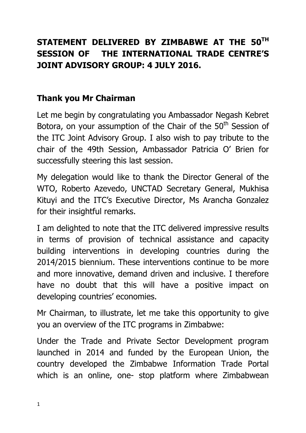## **STATEMENT DELIVERED BY ZIMBABWE AT THE 50TH SESSION OF THE INTERNATIONAL TRADE CENTRE'S JOINT ADVISORY GROUP: 4 JULY 2016.**

## **Thank you Mr Chairman**

Let me begin by congratulating you Ambassador Negash Kebret Botora, on your assumption of the Chair of the 50<sup>th</sup> Session of the ITC Joint Advisory Group. I also wish to pay tribute to the chair of the 49th Session, Ambassador Patricia O' Brien for successfully steering this last session.

My delegation would like to thank the Director General of the WTO, Roberto Azevedo, UNCTAD Secretary General, Mukhisa Kituyi and the ITC's Executive Director, Ms Arancha Gonzalez for their insightful remarks.

I am delighted to note that the ITC delivered impressive results in terms of provision of technical assistance and capacity building interventions in developing countries during the 2014/2015 biennium. These interventions continue to be more and more innovative, demand driven and inclusive. I therefore have no doubt that this will have a positive impact on developing countries' economies.

Mr Chairman, to illustrate, let me take this opportunity to give you an overview of the ITC programs in Zimbabwe:

Under the Trade and Private Sector Development program launched in 2014 and funded by the European Union, the country developed the Zimbabwe Information Trade Portal which is an online, one- stop platform where Zimbabwean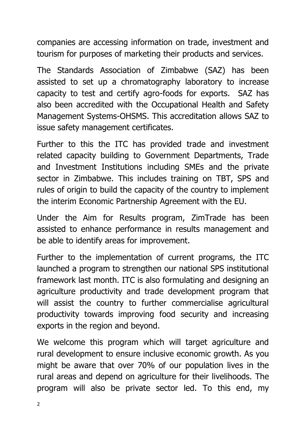companies are accessing information on trade, investment and tourism for purposes of marketing their products and services.

The Standards Association of Zimbabwe (SAZ) has been assisted to set up a chromatography laboratory to increase capacity to test and certify agro-foods for exports. SAZ has also been accredited with the Occupational Health and Safety Management Systems-OHSMS. This accreditation allows SAZ to issue safety management certificates.

Further to this the ITC has provided trade and investment related capacity building to Government Departments, Trade and Investment Institutions including SMEs and the private sector in Zimbabwe. This includes training on TBT, SPS and rules of origin to build the capacity of the country to implement the interim Economic Partnership Agreement with the EU.

Under the Aim for Results program, ZimTrade has been assisted to enhance performance in results management and be able to identify areas for improvement.

Further to the implementation of current programs, the ITC launched a program to strengthen our national SPS institutional framework last month. ITC is also formulating and designing an agriculture productivity and trade development program that will assist the country to further commercialise agricultural productivity towards improving food security and increasing exports in the region and beyond.

We welcome this program which will target agriculture and rural development to ensure inclusive economic growth. As you might be aware that over 70% of our population lives in the rural areas and depend on agriculture for their livelihoods. The program will also be private sector led. To this end, my